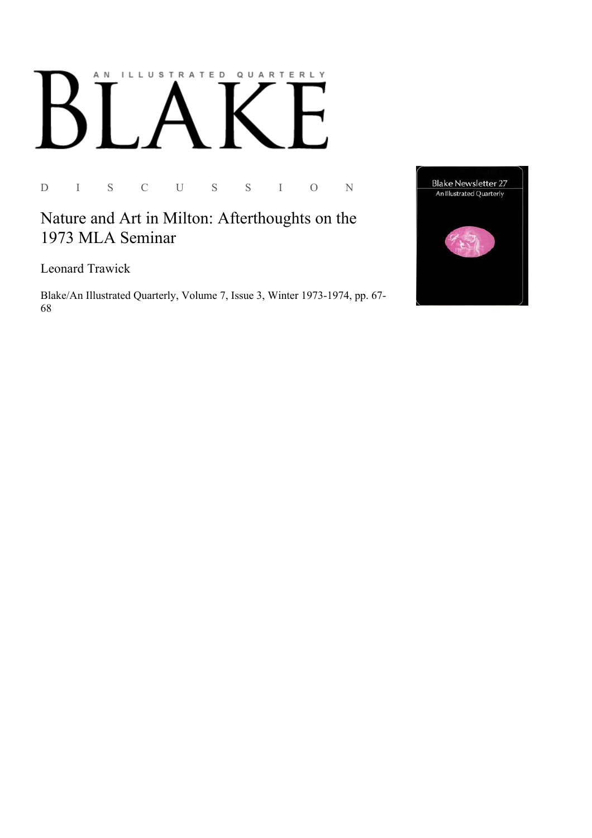## AN ILLUSTRATED QUARTERLY

D I S C U S S I O N

## Nature and Art in Milton: Afterthoughts on the 1973 MLA Seminar

Leonard Trawick

Blake/An Illustrated Quarterly, Volume 7, Issue 3, Winter 1973-1974, pp. 67-68

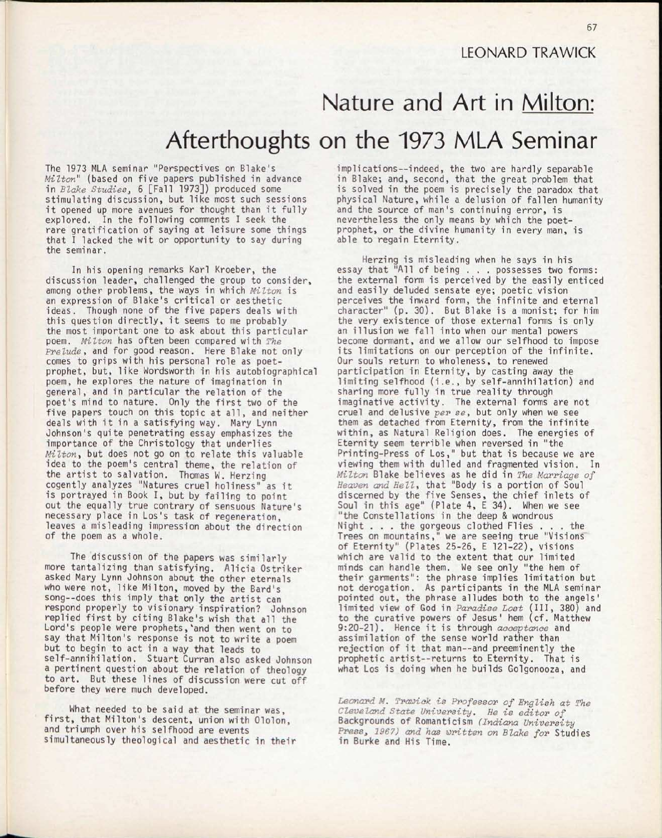67

Nature and Art in Milton: Afterthoughts on the 1973 MLA Seminar

The 1973 MLA seminar "Perspectives on Blake's *Milton"* (based on five papers published in advance in *Blake Studies*, 6 [Fall 1973]) produced some stimulating discussion, but like most such sessions it opened up more avenues for thought than it fully explored. In the following comments I seek the rare gratification of saying at leisure some things that I lacked the wit or opportunity to say during the seminar.

In his opening remarks Karl Kroeber, the discussion leader, challenged the group to consider, among other problems, the ways in which *Milton* is an expression of Blake's critical or aesthetic ideas. Though none of the five papers deals with this question directly, it seems to me probably the most important one to ask about this particular poem. *Milton* has often been compared with *The Prelude,* and for good reason. Here Blake not only comes to grips with his personal role as poetprophet, but, like Wordsworth in his autobiographical poem, he explores the nature of imagination in general, and in particular the relation of the poet's mind to nature. Only the first two of the five papers touch on this topic at all, and neither deals with it in a satisfying way. Mary Lynn Johnson's quite penetrating essay emphasizes the importance of the Christology that underlies *Milton\** but does not go on to relate this valuable idea to the poem's central theme, the relation of the artist to salvation. Thomas W. Herzing cogently analyzes "Natures cruel holiness" as it is portrayed in Book I, but by failing to point out the equally true contrary of sensuous Nature's necessary place in Los's task of regeneration, leaves a misleading impression about the direction of the poem as a whole.

The discussion of the papers was similarly more tantalizing than satisfying. Alicia Ostriker asked Mary Lynn Johnson about the other eternals who were not, like Milton, moved by the Bard's song--does this imply that only the artist can respond properly to visionary inspiration? Johnson replied first by citing Blake's wish that all the Lord's people were prophets, 'and then went on to say that Milton's response is not to write a poem but to begin to act in a way that leads to self-annihilation. Stuart Curran also asked Johnson a pertinent question about the relation of theology to art. But these lines of discussion were cut off before they were much developed.

What needed to be said at the seminar was, first, that Milton's descent, union with Ololon, and triumph over his selfhood are events simultaneously theological and aesthetic in their implications—indeed, the two are hardly separable in Blake; and, second, that the great problem that is solved in the poem is precisely the paradox that physical Nature, while a delusion of fallen humanity and the source of man's continuing error, is nevertheless the only means by which the poetprophet, or the divine humanity in *ewery* man, is able to regain Eternity.

Herzing is misleading when he says in his essay that "All of being . . . possesses two forms: the external form is perceived by the easily enticed and easily deluded sensate eye; poetic vision perceives the inward form, the infinite and eternal character" (p. 30). But Blake is a monist; for him the very existence of those external forms is only an illusion we fall into when our mental powers become dormant, and we allow our selfhood to impose its limitations on our perception of the infinite. Our souls return to wholeness, to renewed participation in Eternity, by casting away the limiting selfhood (i.e., by self-annihilation) and sharing more fully in true reality through imaginative activity . The external forms are not cruel and delusive *per se,* but only when we see them as detached from Eternity, from the infinite within, as Natural Religion does. The energies of Eternity seem terrible when reversed in "the Printing-Press of Los," but that is because we are viewing them with dulled and fragmented vision. In *Milton* Blake believes as he did in *The Marriage of Heaven and Hell,* that "Body is a portion of Soul discerned by the five Senses, the chief inlets of Soul in this age" (Plate 4, E 34). When we see "the Constellations in the deep & wondrous Night . . . the gorgeous clothed Flies . . . the Trees on mountains," we are seeing true "Visions of Eternity" (Plates 25-26, E 121-22), visions which are valid to the extent that our limited minds can handle them. We see only "the hem of their garments": the phrase implies limitation but not derogation. As participants in the MLA seminar pointed out, the phrase alludes both to the angels' limited view of God in *Paradise Lost* (III , 380) and to the curative powers of Jesus' hem (cf. Matthew 9:20-21). Hence it is through *acceptance* and assimilation of the sense world rather than rejection of it that man--and preeminently the prophetic artist--returns to Eternity. That is what Los is doing when he builds Golgonooza, and

*Leonard M. Trawiak is Professor of English at The Cleveland State University. He is editor of*  Backgrounds of Romanticism *(Indiana University Pressy 196?) and has written on Blake for* Studies in Burke and His Time.